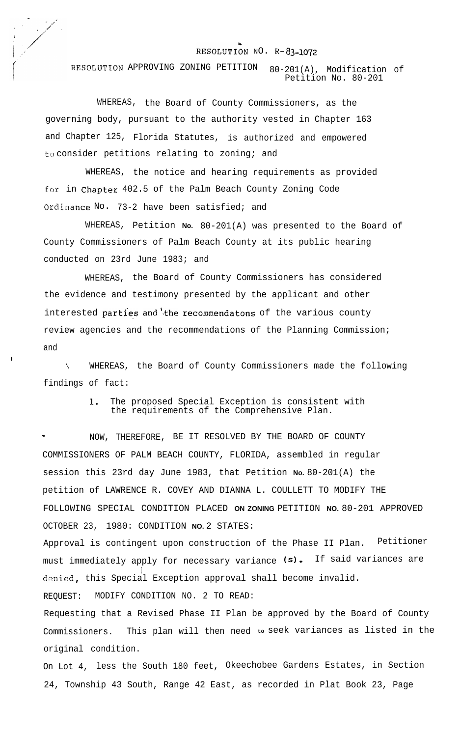## RESOLUTION  $NO. R-83-1072$

RESOLIJTION APPROVING ZONING PETITION 80-201(A), Modification of Petition No. 80-201

WHEREAS, the Board of County Commissioners, as the governing body, pursuant to the authority vested in Chapter 163 and Chapter 125, Florida Statutes, is authorized and empowered to consider petitions relating to zoning; and

WHEREAS, the notice and hearing requirements as provided for in Chapter 402.5 of the Palm Beach County Zoning Code Ordinance No. 73-2 have been satisfied; and

WHEREAS, Petition **No.** 80-201(A) was presented to the Board of County Commissioners of Palm Beach County at its public hearing conducted on 23rd June 1983; and

WHEREAS, the Board of County Commissioners has considered the evidence and testimony presented by the applicant and other interested parties and the recommendatons of the various county review agencies and the recommendations of the Planning Commission; and

\ WHEREAS, the Board of County Commissioners made the following findings of fact:

> 1. The proposed Special Exception is consistent with the requirements of the Comprehensive Plan.

I NOW, THEREFORE, BE IT RESOLVED BY THE BOARD OF COUNTY COMMISSIONERS OF PALM BEACH COUNTY, FLORIDA, assembled in regular session this 23rd day June 1983, that Petition **No.** 80-201(A) the petition of LAWRENCE R. COVEY AND DIANNA L. COULLETT TO MODIFY THE FOLLOWING SPECIAL CONDITION PLACED **ON ZONING** PETITION **NO.** 80-201 APPROVED OCTOBER 23, 1980: CONDITION **NO.** 2 STATES:

Approval is contingent upon construction of the Phase II Plan. Petitioner must immediately apply for necessary variance (s). If said variances are denied, this Special Exception approval shall become invalid.

REQUEST: MODIFY CONDITION NO. 2 TO READ:

Requesting that a Revised Phase II Plan be approved by the Board of County Commissioners. This plan will then need **to** seek variances as listed in the original condition.

On Lot 4, less the South 180 feet, Okeechobee Gardens Estates, in Section 24, Township 43 South, Range 42 East, as recorded in Plat Book 23, Page